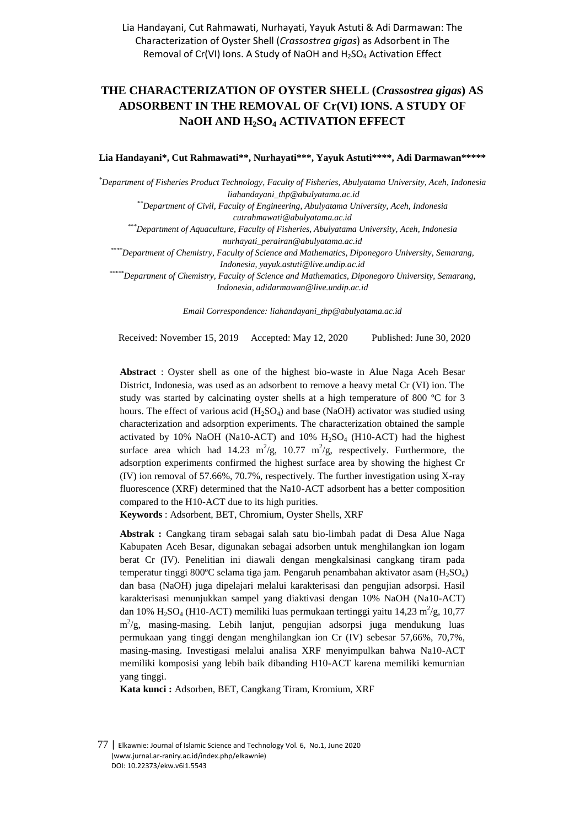# **THE CHARACTERIZATION OF OYSTER SHELL (***Crassostrea gigas***) AS ADSORBENT IN THE REMOVAL OF Cr(VI) IONS. A STUDY OF NaOH AND H2SO<sup>4</sup> ACTIVATION EFFECT**

#### **Lia Handayani\*, Cut Rahmawati\*\*, Nurhayati\*\*\*, Yayuk Astuti\*\*\*\*, Adi Darmawan\*\*\*\*\***

*\*Department of Fisheries Product Technology, Faculty of Fisheries, Abulyatama University, Aceh, Indonesia liahandayani\_thp@abulyatama.ac.id*

*\*\*Department of Civil, Faculty of Engineering, Abulyatama University, Aceh, Indonesia*

*cutrahmawati@abulyatama.ac.id*

*\*\*\*Department of Aquaculture, Faculty of Fisheries, Abulyatama University, Aceh, Indonesia nurhayati\_perairan@abulyatama.ac.id*

*\*\*\*\*Department of Chemistry, Faculty of Science and Mathematics, Diponegoro University, Semarang, Indonesia, yayuk.astuti@live.undip.ac.id*

*\*\*\*\*\*Department of Chemistry, Faculty of Science and Mathematics, Diponegoro University, Semarang, Indonesia, adidarmawan@live.undip.ac.id*

*Email Correspondence: liahandayani\_thp@abulyatama.ac.id*

Received: November 15, 2019 Accepted: May 12, 2020 Published: June 30, 2020

**Abstract** : Oyster shell as one of the highest bio-waste in Alue Naga Aceh Besar District, Indonesia, was used as an adsorbent to remove a heavy metal Cr (VI) ion. The study was started by calcinating oyster shells at a high temperature of 800 ºC for 3 hours. The effect of various acid  $(H_2SO_4)$  and base (NaOH) activator was studied using characterization and adsorption experiments. The characterization obtained the sample activated by 10% NaOH (Na10-ACT) and 10%  $H_2SO_4$  (H10-ACT) had the highest surface area which had  $14.23 \text{ m}^2/\text{g}$ ,  $10.77 \text{ m}^2/\text{g}$ , respectively. Furthermore, the adsorption experiments confirmed the highest surface area by showing the highest Cr (IV) ion removal of 57.66%, 70.7%, respectively. The further investigation using X-ray fluorescence (XRF) determined that the Na10-ACT adsorbent has a better composition compared to the H10-ACT due to its high purities.

**Keywords** : Adsorbent, BET, Chromium, Oyster Shells, XRF

**Abstrak :** Cangkang tiram sebagai salah satu bio-limbah padat di Desa Alue Naga Kabupaten Aceh Besar, digunakan sebagai adsorben untuk menghilangkan ion logam berat Cr (IV). Penelitian ini diawali dengan mengkalsinasi cangkang tiram pada temperatur tinggi 800°C selama tiga jam. Pengaruh penambahan aktivator asam  $(H_2SO_4)$ dan basa (NaOH) juga dipelajari melalui karakterisasi dan pengujian adsorpsi. Hasil karakterisasi menunjukkan sampel yang diaktivasi dengan 10% NaOH (Na10-ACT) dan 10%  $\text{H}_2\text{SO}_4$  (H10-ACT) memiliki luas permukaan tertinggi yaitu 14,23 m<sup>2</sup>/g, 10,77 m 2 /g, masing-masing. Lebih lanjut, pengujian adsorpsi juga mendukung luas permukaan yang tinggi dengan menghilangkan ion Cr (IV) sebesar 57,66%, 70,7%, masing-masing. Investigasi melalui analisa XRF menyimpulkan bahwa Na10-ACT memiliki komposisi yang lebih baik dibanding H10-ACT karena memiliki kemurnian yang tinggi.

**Kata kunci :** Adsorben, BET, Cangkang Tiram, Kromium, XRF

77 | Elkawnie: Journal of Islamic Science and Technology Vol. 6, No.1, June 2020 (www.jurnal.ar-raniry.ac.id/index.php/elkawnie) DOI: 10.22373/ekw.v6i1.5543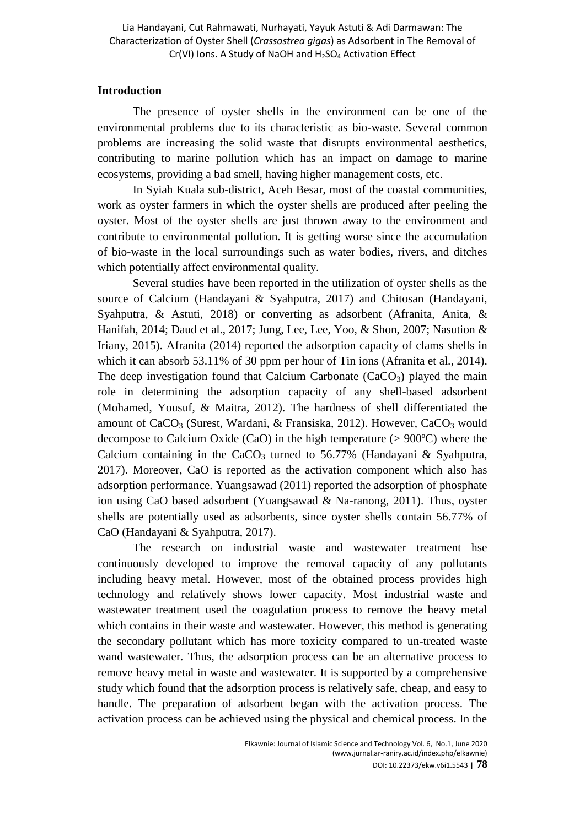### **Introduction**

The presence of oyster shells in the environment can be one of the environmental problems due to its characteristic as bio-waste. Several common problems are increasing the solid waste that disrupts environmental aesthetics, contributing to marine pollution which has an impact on damage to marine ecosystems, providing a bad smell, having higher management costs, etc.

In Syiah Kuala sub-district, Aceh Besar, most of the coastal communities, work as oyster farmers in which the oyster shells are produced after peeling the oyster. Most of the oyster shells are just thrown away to the environment and contribute to environmental pollution. It is getting worse since the accumulation of bio-waste in the local surroundings such as water bodies, rivers, and ditches which potentially affect environmental quality.

Several studies have been reported in the utilization of oyster shells as the source of Calcium (Handayani & Syahputra, 2017) and Chitosan (Handayani, Syahputra, & Astuti, 2018) or converting as adsorbent (Afranita, Anita, & Hanifah, 2014; Daud et al., 2017; Jung, Lee, Lee, Yoo, & Shon, 2007; Nasution & Iriany, 2015). Afranita (2014) reported the adsorption capacity of clams shells in which it can absorb 53.11% of 30 ppm per hour of Tin ions (Afranita et al., 2014). The deep investigation found that Calcium Carbonate  $(CaCO<sub>3</sub>)$  played the main role in determining the adsorption capacity of any shell-based adsorbent (Mohamed, Yousuf, & Maitra, 2012). The hardness of shell differentiated the amount of  $CaCO<sub>3</sub>$  (Surest, Wardani, & Fransiska, 2012). However,  $CaCO<sub>3</sub>$  would decompose to Calcium Oxide (CaO) in the high temperature  $(> 900^{\circ}C)$  where the Calcium containing in the  $CaCO<sub>3</sub>$  turned to 56.77% (Handayani & Syahputra, 2017). Moreover, CaO is reported as the activation component which also has adsorption performance. Yuangsawad (2011) reported the adsorption of phosphate ion using CaO based adsorbent (Yuangsawad & Na-ranong, 2011). Thus, oyster shells are potentially used as adsorbents, since oyster shells contain 56.77% of CaO (Handayani & Syahputra, 2017).

The research on industrial waste and wastewater treatment hse continuously developed to improve the removal capacity of any pollutants including heavy metal. However, most of the obtained process provides high technology and relatively shows lower capacity. Most industrial waste and wastewater treatment used the coagulation process to remove the heavy metal which contains in their waste and wastewater. However, this method is generating the secondary pollutant which has more toxicity compared to un-treated waste wand wastewater. Thus, the adsorption process can be an alternative process to remove heavy metal in waste and wastewater. It is supported by a comprehensive study which found that the adsorption process is relatively safe, cheap, and easy to handle. The preparation of adsorbent began with the activation process. The activation process can be achieved using the physical and chemical process. In the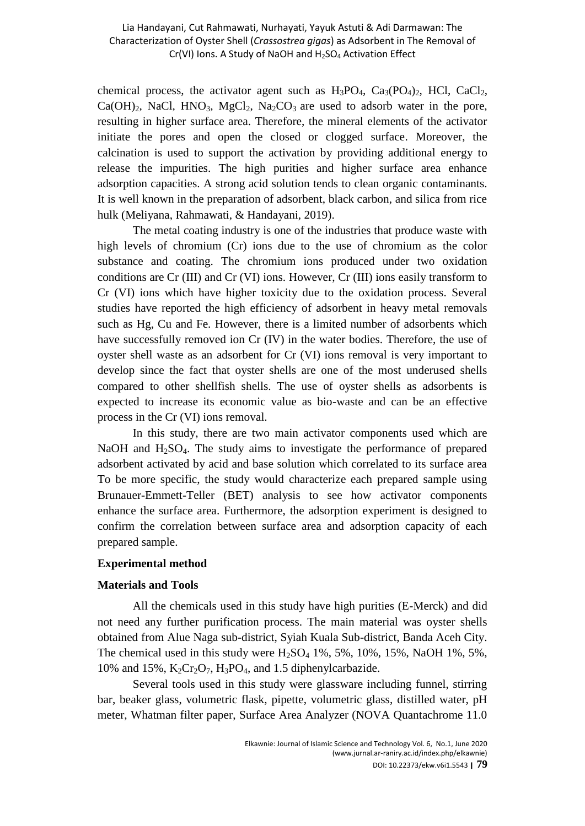chemical process, the activator agent such as  $H_3PO_4$ ,  $Ca_3(PO_4)_2$ , HCl,  $CaCl_2$ ,  $Ca(OH)_2$ , NaCl, HNO<sub>3</sub>, MgCl<sub>2</sub>, Na<sub>2</sub>CO<sub>3</sub> are used to adsorb water in the pore, resulting in higher surface area. Therefore, the mineral elements of the activator initiate the pores and open the closed or clogged surface. Moreover, the calcination is used to support the activation by providing additional energy to release the impurities. The high purities and higher surface area enhance adsorption capacities. A strong acid solution tends to clean organic contaminants. It is well known in the preparation of adsorbent, black carbon, and silica from rice hulk (Meliyana, Rahmawati, & Handayani, 2019).

The metal coating industry is one of the industries that produce waste with high levels of chromium (Cr) ions due to the use of chromium as the color substance and coating. The chromium ions produced under two oxidation conditions are Cr (III) and Cr (VI) ions. However, Cr (III) ions easily transform to Cr (VI) ions which have higher toxicity due to the oxidation process. Several studies have reported the high efficiency of adsorbent in heavy metal removals such as Hg, Cu and Fe. However, there is a limited number of adsorbents which have successfully removed ion Cr (IV) in the water bodies. Therefore, the use of oyster shell waste as an adsorbent for Cr (VI) ions removal is very important to develop since the fact that oyster shells are one of the most underused shells compared to other shellfish shells. The use of oyster shells as adsorbents is expected to increase its economic value as bio-waste and can be an effective process in the Cr (VI) ions removal.

In this study, there are two main activator components used which are NaOH and  $H_2SO_4$ . The study aims to investigate the performance of prepared adsorbent activated by acid and base solution which correlated to its surface area To be more specific, the study would characterize each prepared sample using Brunauer-Emmett-Teller (BET) analysis to see how activator components enhance the surface area. Furthermore, the adsorption experiment is designed to confirm the correlation between surface area and adsorption capacity of each prepared sample.

### **Experimental method**

### **Materials and Tools**

All the chemicals used in this study have high purities (E-Merck) and did not need any further purification process. The main material was oyster shells obtained from Alue Naga sub-district, Syiah Kuala Sub-district, Banda Aceh City. The chemical used in this study were  $H_2SO_4$  1%, 5%, 10%, 15%, NaOH 1%, 5%, 10% and 15%,  $K_2Cr_2O_7$ ,  $H_3PO_4$ , and 1.5 diphenylcarbazide.

Several tools used in this study were glassware including funnel, stirring bar, beaker glass, volumetric flask, pipette, volumetric glass, distilled water, pH meter, Whatman filter paper, Surface Area Analyzer (NOVA Quantachrome 11.0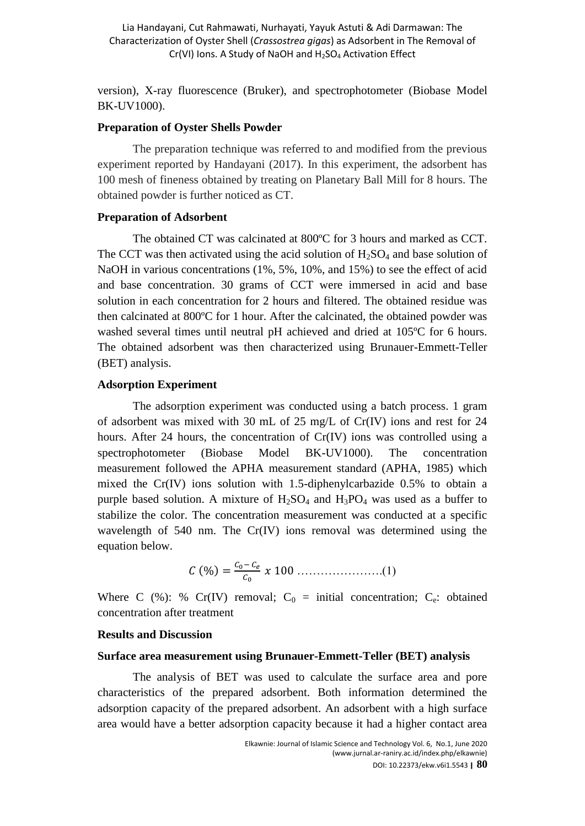version), X-ray fluorescence (Bruker), and spectrophotometer (Biobase Model BK-UV1000).

### **Preparation of Oyster Shells Powder**

The preparation technique was referred to and modified from the previous experiment reported by Handayani (2017). In this experiment, the adsorbent has 100 mesh of fineness obtained by treating on Planetary Ball Mill for 8 hours. The obtained powder is further noticed as CT.

#### **Preparation of Adsorbent**

The obtained CT was calcinated at 800ºC for 3 hours and marked as CCT. The CCT was then activated using the acid solution of  $H_2SO_4$  and base solution of NaOH in various concentrations (1%, 5%, 10%, and 15%) to see the effect of acid and base concentration. 30 grams of CCT were immersed in acid and base solution in each concentration for 2 hours and filtered. The obtained residue was then calcinated at 800ºC for 1 hour. After the calcinated, the obtained powder was washed several times until neutral pH achieved and dried at 105ºC for 6 hours. The obtained adsorbent was then characterized using Brunauer-Emmett-Teller (BET) analysis.

#### **Adsorption Experiment**

The adsorption experiment was conducted using a batch process. 1 gram of adsorbent was mixed with 30 mL of 25 mg/L of Cr(IV) ions and rest for 24 hours. After 24 hours, the concentration of Cr(IV) ions was controlled using a spectrophotometer (Biobase Model BK-UV1000). The concentration measurement followed the APHA measurement standard (APHA, 1985) which mixed the Cr(IV) ions solution with 1.5-diphenylcarbazide 0.5% to obtain a purple based solution. A mixture of  $H_2SO_4$  and  $H_3PO_4$  was used as a buffer to stabilize the color. The concentration measurement was conducted at a specific wavelength of 540 nm. The Cr(IV) ions removal was determined using the equation below.

$$
C(96) = \frac{c_0 - c_e}{c_0} \times 100 \dots \dots \dots \dots \dots \dots (1)
$$

Where C (%): % Cr(IV) removal;  $C_0 =$  initial concentration;  $C_e$ : obtained concentration after treatment

#### **Results and Discussion**

#### **Surface area measurement using Brunauer-Emmett-Teller (BET) analysis**

The analysis of BET was used to calculate the surface area and pore characteristics of the prepared adsorbent. Both information determined the adsorption capacity of the prepared adsorbent. An adsorbent with a high surface area would have a better adsorption capacity because it had a higher contact area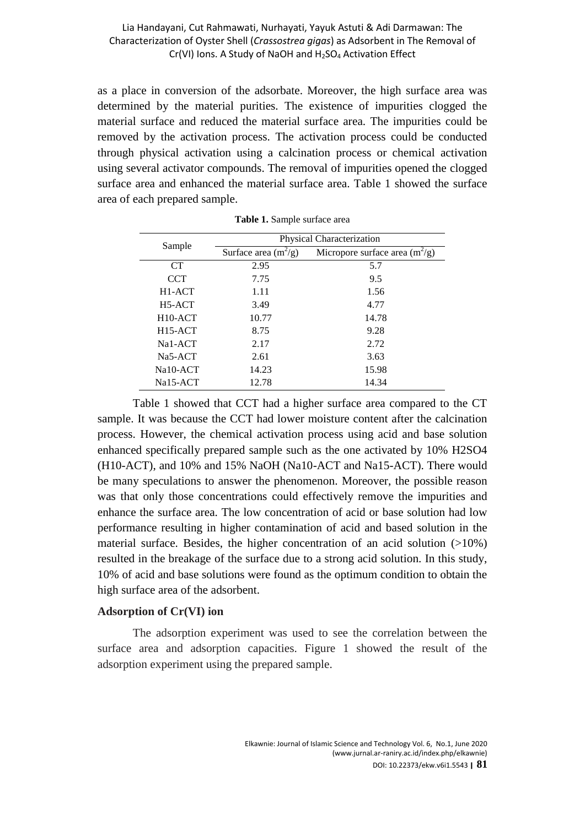as a place in conversion of the adsorbate. Moreover, the high surface area was determined by the material purities. The existence of impurities clogged the material surface and reduced the material surface area. The impurities could be removed by the activation process. The activation process could be conducted through physical activation using a calcination process or chemical activation using several activator compounds. The removal of impurities opened the clogged surface area and enhanced the material surface area. Table 1 showed the surface area of each prepared sample.

| Sample     | Physical Characterization |                                  |  |  |  |
|------------|---------------------------|----------------------------------|--|--|--|
|            | Surface area $(m^2/g)$    | Micropore surface area $(m^2/g)$ |  |  |  |
| CT.        | 2.95                      | 5.7                              |  |  |  |
| <b>CCT</b> | 7.75                      | 9.5                              |  |  |  |
| $H1-ACT$   | 1.11                      | 1.56                             |  |  |  |
| $H5-ACT$   | 3.49                      | 4.77                             |  |  |  |
| $H10-ACT$  | 10.77                     | 14.78                            |  |  |  |
| $H15-ACT$  | 8.75                      | 9.28                             |  |  |  |
| $Na1-ACT$  | 2.17                      | 2.72                             |  |  |  |
| $Na5-ACT$  | 2.61                      | 3.63                             |  |  |  |
| Na10-ACT   | 14.23                     | 15.98                            |  |  |  |
| Na15-ACT   | 12.78                     | 14.34                            |  |  |  |

**Table 1.** Sample surface area

Table 1 showed that CCT had a higher surface area compared to the CT sample. It was because the CCT had lower moisture content after the calcination process. However, the chemical activation process using acid and base solution enhanced specifically prepared sample such as the one activated by 10% H2SO4 (H10-ACT), and 10% and 15% NaOH (Na10-ACT and Na15-ACT). There would be many speculations to answer the phenomenon. Moreover, the possible reason was that only those concentrations could effectively remove the impurities and enhance the surface area. The low concentration of acid or base solution had low performance resulting in higher contamination of acid and based solution in the material surface. Besides, the higher concentration of an acid solution  $(>10\%)$ resulted in the breakage of the surface due to a strong acid solution. In this study, 10% of acid and base solutions were found as the optimum condition to obtain the high surface area of the adsorbent.

### **Adsorption of Cr(VI) ion**

The adsorption experiment was used to see the correlation between the surface area and adsorption capacities. Figure 1 showed the result of the adsorption experiment using the prepared sample.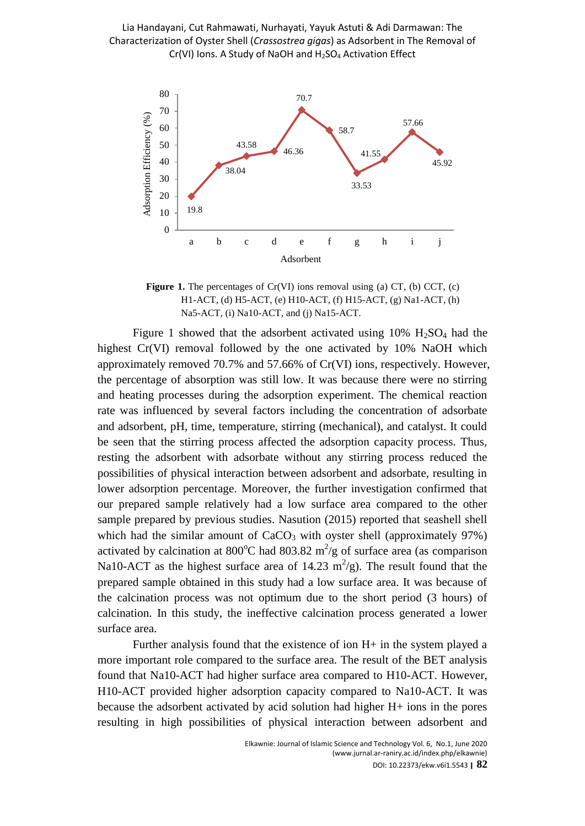

**Figure 1.** The percentages of Cr(VI) ions removal using (a) CT, (b) CCT, (c) H1-ACT, (d) H5-ACT, (e) H10-ACT, (f) H15-ACT, (g) Na1-ACT, (h) Na5-ACT, (i) Na10-ACT, and (j) Na15-ACT.

Figure 1 showed that the adsorbent activated using  $10\%$  H<sub>2</sub>SO<sub>4</sub> had the highest Cr(VI) removal followed by the one activated by 10% NaOH which approximately removed 70.7% and 57.66% of Cr(VI) ions, respectively. However, the percentage of absorption was still low. It was because there were no stirring and heating processes during the adsorption experiment. The chemical reaction rate was influenced by several factors including the concentration of adsorbate and adsorbent, pH, time, temperature, stirring (mechanical), and catalyst. It could be seen that the stirring process affected the adsorption capacity process. Thus, resting the adsorbent with adsorbate without any stirring process reduced the possibilities of physical interaction between adsorbent and adsorbate, resulting in lower adsorption percentage. Moreover, the further investigation confirmed that our prepared sample relatively had a low surface area compared to the other sample prepared by previous studies. Nasution (2015) reported that seashell shell which had the similar amount of  $CaCO<sub>3</sub>$  with oyster shell (approximately 97%) activated by calcination at 800 $^{\circ}$ C had 803.82 m<sup>2</sup>/g of surface area (as comparison Na10-ACT as the highest surface area of 14.23  $m^2/g$ ). The result found that the prepared sample obtained in this study had a low surface area. It was because of the calcination process was not optimum due to the short period (3 hours) of calcination. In this study, the ineffective calcination process generated a lower surface area.

Further analysis found that the existence of ion  $H<sup>+</sup>$  in the system played a more important role compared to the surface area. The result of the BET analysis found that Na10-ACT had higher surface area compared to H10-ACT. However, H10-ACT provided higher adsorption capacity compared to Na10-ACT. It was because the adsorbent activated by acid solution had higher H+ ions in the pores resulting in high possibilities of physical interaction between adsorbent and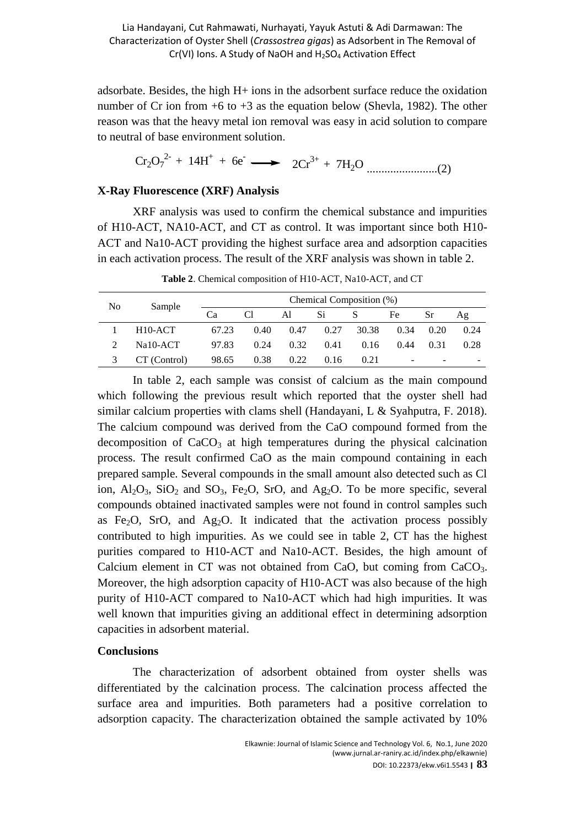adsorbate. Besides, the high H+ ions in the adsorbent surface reduce the oxidation number of Cr ion from  $+6$  to  $+3$  as the equation below (Shevla, 1982). The other reason was that the heavy metal ion removal was easy in acid solution to compare to neutral of base environment solution.

$$
Cr_2O_7^{2-} + 14H^+ + 6e^- \longrightarrow 2Cr^{3+} + 7H_2O
$$
.................(2)

### **X-Ray Fluorescence (XRF) Analysis**

XRF analysis was used to confirm the chemical substance and impurities of H10-ACT, NA10-ACT, and CT as control. It was important since both H10- ACT and Na10-ACT providing the highest surface area and adsorption capacities in each activation process. The result of the XRF analysis was shown in table 2.

**Table 2**. Chemical composition of H10-ACT, Na10-ACT, and CT

| N <sub>0</sub> | Sample                | Chemical Composition (%) |      |      |      |              |      |      |      |
|----------------|-----------------------|--------------------------|------|------|------|--------------|------|------|------|
|                |                       | Ca                       |      | Al   | Si   | <sub>S</sub> | Fe   | Sr   | Ag   |
|                | $H10-ACT$             | 67.23                    | 0.40 | 0.47 | 0.27 | 30.38        | 0.34 | 0.20 | 0.24 |
|                | Na <sub>10</sub> -ACT | 97.83                    | 0.24 | 0.32 | 0.41 | 0.16         | 0.44 | 0.31 | 0.28 |
| 3              | CT (Control)          | 98.65                    | 0.38 | 0.22 | 0.16 | 0.21         | -    |      | -    |

In table 2, each sample was consist of calcium as the main compound which following the previous result which reported that the oyster shell had similar calcium properties with clams shell (Handayani, L & Syahputra, F. 2018). The calcium compound was derived from the CaO compound formed from the decomposition of  $CaCO<sub>3</sub>$  at high temperatures during the physical calcination process. The result confirmed CaO as the main compound containing in each prepared sample. Several compounds in the small amount also detected such as Cl ion,  $Al_2O_3$ ,  $SiO_2$  and  $SO_3$ ,  $Fe_2O$ ,  $SrO$ , and  $Ag_2O$ . To be more specific, several compounds obtained inactivated samples were not found in control samples such as Fe<sub>2</sub>O, SrO, and Ag<sub>2</sub>O. It indicated that the activation process possibly contributed to high impurities. As we could see in table 2, CT has the highest purities compared to H10-ACT and Na10-ACT. Besides, the high amount of Calcium element in CT was not obtained from CaO, but coming from CaCO3. Moreover, the high adsorption capacity of H10-ACT was also because of the high purity of H10-ACT compared to Na10-ACT which had high impurities. It was well known that impurities giving an additional effect in determining adsorption capacities in adsorbent material.

### **Conclusions**

The characterization of adsorbent obtained from oyster shells was differentiated by the calcination process. The calcination process affected the surface area and impurities. Both parameters had a positive correlation to adsorption capacity. The characterization obtained the sample activated by 10%